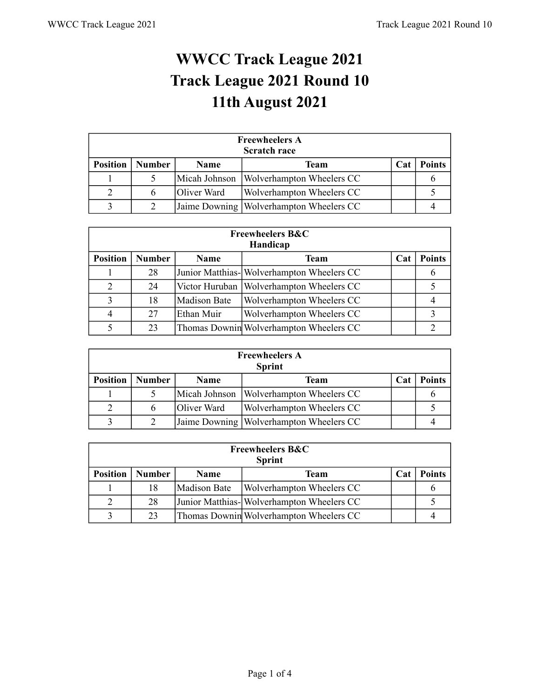## **WWCC Track League 2021 Track League 2021 Round 10 11th August 2021**

| <b>Freewheelers A</b><br><b>Scratch race</b> |               |             |                                         |     |               |  |  |  |  |
|----------------------------------------------|---------------|-------------|-----------------------------------------|-----|---------------|--|--|--|--|
| <b>Position</b>                              | <b>Number</b> | <b>Name</b> | Team                                    | Cat | <b>Points</b> |  |  |  |  |
|                                              |               |             | Micah Johnson Wolverhampton Wheelers CC |     |               |  |  |  |  |
|                                              |               | Oliver Ward | Wolverhampton Wheelers CC               |     |               |  |  |  |  |
| $\mathbf{\Omega}$                            |               |             | Jaime Downing Wolverhampton Wheelers CC |     |               |  |  |  |  |

| <b>Freewheelers B&amp;C</b><br>Handicap |               |              |                                            |     |               |  |  |  |  |
|-----------------------------------------|---------------|--------------|--------------------------------------------|-----|---------------|--|--|--|--|
| <b>Position</b>                         | <b>Number</b> | Name         | <b>Team</b>                                | Cat | <b>Points</b> |  |  |  |  |
|                                         | 28            |              | Junior Matthias- Wolverhampton Wheelers CC |     |               |  |  |  |  |
| $\overline{2}$                          | 24            |              | Victor Huruban   Wolverhampton Wheelers CC |     |               |  |  |  |  |
| 3                                       | 18            | Madison Bate | Wolverhampton Wheelers CC                  |     |               |  |  |  |  |
| 4                                       | 27            | Ethan Muir   | Wolverhampton Wheelers CC                  |     |               |  |  |  |  |
|                                         | 23            |              | Thomas Downin Wolverhampton Wheelers CC    |     |               |  |  |  |  |

| <b>Freewheelers A</b><br><b>Sprint</b> |               |             |                                           |            |               |  |  |  |  |
|----------------------------------------|---------------|-------------|-------------------------------------------|------------|---------------|--|--|--|--|
| <b>Position</b>                        | <b>Number</b> | <b>Name</b> | Team                                      | <b>Cat</b> | <b>Points</b> |  |  |  |  |
|                                        |               |             | Micah Johnson   Wolverhampton Wheelers CC |            |               |  |  |  |  |
| 2                                      |               | Oliver Ward | <b>Wolverhampton Wheelers CC</b>          |            |               |  |  |  |  |
| $\mathbf 3$                            |               |             | Jaime Downing   Wolverhampton Wheelers CC |            |               |  |  |  |  |

| <b>Freewheelers B&amp;C</b><br><b>Sprint</b> |               |              |                                           |     |               |  |  |  |  |
|----------------------------------------------|---------------|--------------|-------------------------------------------|-----|---------------|--|--|--|--|
| <b>Position</b>                              | <b>Number</b> | <b>Name</b>  | Team                                      | Cat | <b>Points</b> |  |  |  |  |
|                                              | 18            | Madison Bate | Wolverhampton Wheelers CC                 |     |               |  |  |  |  |
| $\overline{2}$                               | 28            |              | Junior Matthias-Wolverhampton Wheelers CC |     |               |  |  |  |  |
| 3                                            | 23            |              | Thomas Downin Wolverhampton Wheelers CC   |     |               |  |  |  |  |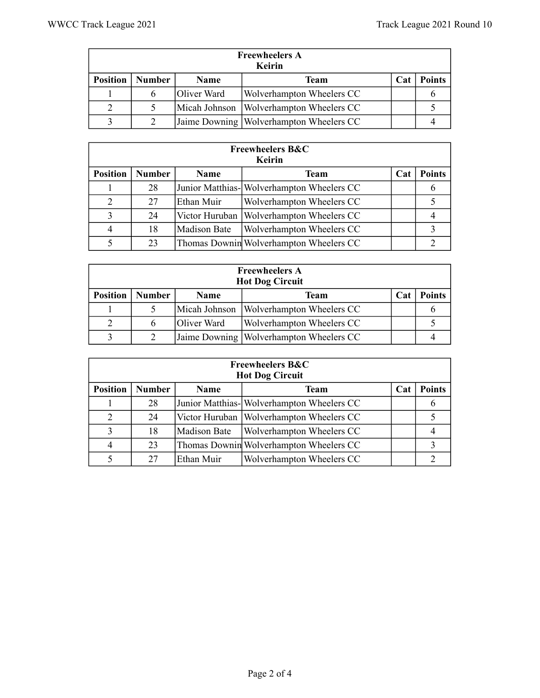| <b>Freewheelers A</b><br>Keirin |               |             |                                         |     |               |  |  |  |  |
|---------------------------------|---------------|-------------|-----------------------------------------|-----|---------------|--|--|--|--|
| <b>Position</b>                 | <b>Number</b> | <b>Name</b> | Team                                    | Cat | <b>Points</b> |  |  |  |  |
|                                 |               | Oliver Ward | Wolverhampton Wheelers CC               |     |               |  |  |  |  |
|                                 |               |             | Micah Johnson Wolverhampton Wheelers CC |     |               |  |  |  |  |
| $\mathbf{R}$                    |               |             | Jaime Downing Wolverhampton Wheelers CC |     |               |  |  |  |  |

| <b>Freewheelers B&amp;C</b><br>Keirin |               |                     |                                            |     |               |  |  |  |  |
|---------------------------------------|---------------|---------------------|--------------------------------------------|-----|---------------|--|--|--|--|
| <b>Position</b>                       | <b>Number</b> | Name                | Team                                       | Cat | <b>Points</b> |  |  |  |  |
|                                       | 28            |                     | Junior Matthias- Wolverhampton Wheelers CC |     | O             |  |  |  |  |
| 2                                     | 27            | Ethan Muir          | Wolverhampton Wheelers CC                  |     |               |  |  |  |  |
| 3                                     | 24            |                     | Victor Huruban   Wolverhampton Wheelers CC |     |               |  |  |  |  |
| 4                                     | 18            | <b>Madison Bate</b> | Wolverhampton Wheelers CC                  |     | 3             |  |  |  |  |
|                                       | 23            |                     | Thomas Downin Wolverhampton Wheelers CC    |     |               |  |  |  |  |

| <b>Freewheelers A</b><br><b>Hot Dog Circuit</b> |               |             |                                           |     |               |  |  |  |  |
|-------------------------------------------------|---------------|-------------|-------------------------------------------|-----|---------------|--|--|--|--|
| <b>Position</b>                                 | <b>Number</b> | <b>Name</b> | Team                                      | Cat | <b>Points</b> |  |  |  |  |
|                                                 |               |             | Micah Johnson   Wolverhampton Wheelers CC |     |               |  |  |  |  |
| 2                                               | 6             | Oliver Ward | Wolverhampton Wheelers CC                 |     |               |  |  |  |  |
| $\mathbf{R}$                                    |               |             | Jaime Downing   Wolverhampton Wheelers CC |     |               |  |  |  |  |

| <b>Freewheelers B&amp;C</b><br><b>Hot Dog Circuit</b> |               |                     |                                            |            |               |  |  |  |  |
|-------------------------------------------------------|---------------|---------------------|--------------------------------------------|------------|---------------|--|--|--|--|
| <b>Position</b>                                       | <b>Number</b> | Name                | <b>Team</b>                                | <b>Cat</b> | <b>Points</b> |  |  |  |  |
|                                                       | 28            |                     | Junior Matthias- Wolverhampton Wheelers CC |            |               |  |  |  |  |
| 2                                                     | 24            |                     | Victor Huruban   Wolverhampton Wheelers CC |            |               |  |  |  |  |
| 3                                                     | 18            | <b>Madison Bate</b> | <b>Wolverhampton Wheelers CC</b>           |            |               |  |  |  |  |
| $\overline{4}$                                        | 23            |                     | Thomas Downin Wolverhampton Wheelers CC    |            |               |  |  |  |  |
|                                                       | 27            | Ethan Muir          | Wolverhampton Wheelers CC                  |            |               |  |  |  |  |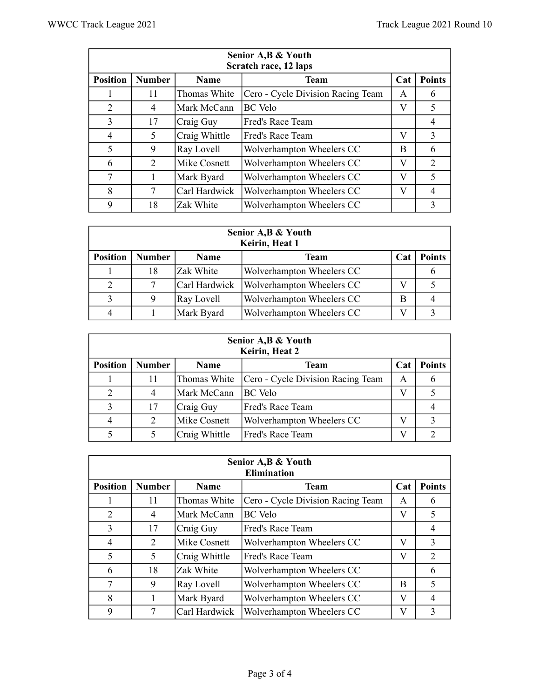| Senior A, B & Youth<br>Scratch race, 12 laps |               |               |                                   |     |                          |  |  |  |  |
|----------------------------------------------|---------------|---------------|-----------------------------------|-----|--------------------------|--|--|--|--|
| <b>Position</b>                              | <b>Number</b> | <b>Name</b>   | <b>Team</b>                       | Cat | <b>Points</b>            |  |  |  |  |
|                                              | 11            | Thomas White  | Cero - Cycle Division Racing Team | A   | 6                        |  |  |  |  |
| 2                                            | 4             | Mark McCann   | <b>BC</b> Velo                    | V   | 5                        |  |  |  |  |
| 3                                            | 17            | Craig Guy     | Fred's Race Team                  |     | 4                        |  |  |  |  |
| 4                                            | 5             | Craig Whittle | Fred's Race Team                  | V   | 3                        |  |  |  |  |
| 5                                            | 9             | Ray Lovell    | Wolverhampton Wheelers CC         | B   | 6                        |  |  |  |  |
| 6                                            | 2             | Mike Cosnett  | Wolverhampton Wheelers CC         | V   | 2                        |  |  |  |  |
| 7                                            |               | Mark Byard    | Wolverhampton Wheelers CC         | V   | $\overline{\mathcal{L}}$ |  |  |  |  |
| 8                                            |               | Carl Hardwick | Wolverhampton Wheelers CC         | V   | 4                        |  |  |  |  |
| 9                                            | 18            | Zak White     | Wolverhampton Wheelers CC         |     | 3                        |  |  |  |  |

| Senior A, B & Youth<br>Keirin, Heat 1 |               |               |                           |            |               |  |  |  |
|---------------------------------------|---------------|---------------|---------------------------|------------|---------------|--|--|--|
| <b>Position</b>                       | <b>Number</b> | <b>Name</b>   | Team                      | <b>Cat</b> | <b>Points</b> |  |  |  |
|                                       | 18            | Zak White     | Wolverhampton Wheelers CC |            |               |  |  |  |
| 2                                     |               | Carl Hardwick | Wolverhampton Wheelers CC |            |               |  |  |  |
| 3                                     |               | Ray Lovell    | Wolverhampton Wheelers CC | В          |               |  |  |  |
| 4                                     |               | Mark Byard    | Wolverhampton Wheelers CC |            |               |  |  |  |

| Senior A, B & Youth<br>Keirin, Heat 2 |               |               |                                   |     |               |  |  |  |  |
|---------------------------------------|---------------|---------------|-----------------------------------|-----|---------------|--|--|--|--|
| <b>Position</b>                       | <b>Number</b> | <b>Name</b>   | Team                              | Cat | <b>Points</b> |  |  |  |  |
|                                       |               | Thomas White  | Cero - Cycle Division Racing Team | A   |               |  |  |  |  |
| 2                                     |               | Mark McCann   | <b>BC</b> Velo                    |     |               |  |  |  |  |
| 3                                     | 17            | Craig Guy     | Fred's Race Team                  |     |               |  |  |  |  |
| 4                                     |               | Mike Cosnett  | Wolverhampton Wheelers CC         |     |               |  |  |  |  |
|                                       |               | Craig Whittle | Fred's Race Team                  |     |               |  |  |  |  |

| Senior A, B & Youth<br><b>Elimination</b> |               |               |                                   |     |                             |  |  |  |  |
|-------------------------------------------|---------------|---------------|-----------------------------------|-----|-----------------------------|--|--|--|--|
| <b>Position</b>                           | <b>Number</b> | Name          | <b>Team</b>                       | Cat | <b>Points</b>               |  |  |  |  |
|                                           | 11            | Thomas White  | Cero - Cycle Division Racing Team | A   | 6                           |  |  |  |  |
| 2                                         | 4             | Mark McCann   | <b>BC</b> Velo                    | V   | 5                           |  |  |  |  |
| 3                                         | 17            | Craig Guy     | Fred's Race Team                  |     | $\overline{4}$              |  |  |  |  |
| 4                                         | 2             | Mike Cosnett  | Wolverhampton Wheelers CC         | V   | 3                           |  |  |  |  |
| 5                                         | 5             | Craig Whittle | Fred's Race Team                  | V   | $\mathcal{D}_{\mathcal{L}}$ |  |  |  |  |
| 6                                         | 18            | Zak White     | Wolverhampton Wheelers CC         |     | 6                           |  |  |  |  |
| 7                                         | 9             | Ray Lovell    | Wolverhampton Wheelers CC         | B   | 5                           |  |  |  |  |
| 8                                         |               | Mark Byard    | Wolverhampton Wheelers CC         | V   | 4                           |  |  |  |  |
| 9                                         |               | Carl Hardwick | Wolverhampton Wheelers CC         | V   | 3                           |  |  |  |  |